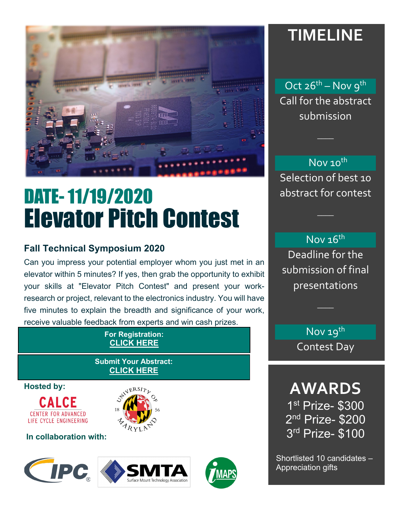

# DATE- 11/19/2020 Elevator Pitch Contest

### **Fall Technical Symposium 2020**

Can you impress your potential employer whom you just met in an elevator within 5 minutes? If yes, then grab the opportunity to exhibit your skills at "Elevator Pitch Contest" and present your workresearch or project, relevant to the electronics industry. You will have five minutes to explain the breadth and significance of your work, receive valuable feedback from experts and win cash prizes.

#### **For Registration: CLICK HERE**

#### **Submit Your Abstract: CLICK HERE**

**Hosted by:** 





**In collaboration with:**







# **TIMELINE**

Oct 26<sup>th</sup> – Nov 9<sup>th</sup> Call for the abstract submission

 $\overline{\phantom{a}}$ 

Nov 10<sup>th</sup> Selection of best 10 abstract for contest

## Nov 16th

 $\overline{\phantom{a}}$ 

Deadline for the submission of final presentations

 $\overline{\phantom{a}}$ 

Nov 19<sup>th</sup> Contest Day

**AWARDS**  1st Prize- \$300 2<sup>nd</sup> Prize- \$200 3rd Prize- \$100

Shortlisted 10 candidates – Appreciation gifts